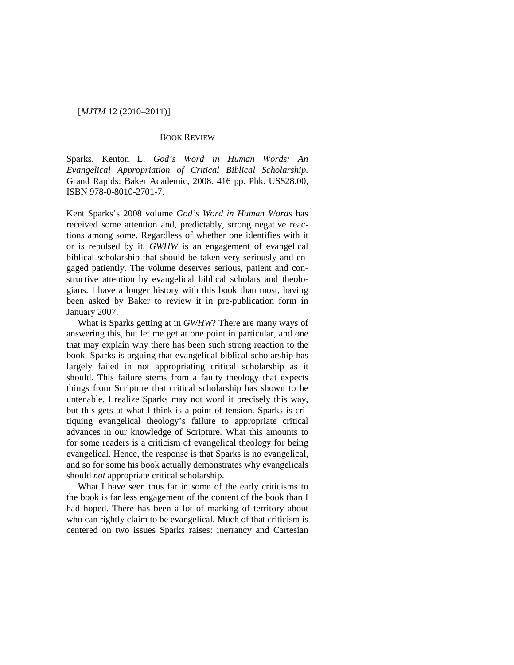# [*MJTM* 12 (2010–2011)]

## BOOK REVIEW

Sparks, Kenton L. *God's Word in Human Words: An Evangelical Appropriation of Critical Biblical Scholarship.* Grand Rapids: Baker Academic, 2008. 416 pp. Pbk. US\$28.00, ISBN 978-0-8010-2701-7.

Kent Sparks's 2008 volume *God's Word in Human Words* has received some attention and, predictably, strong negative reactions among some. Regardless of whether one identifies with it or is repulsed by it, *GWHW* is an engagement of evangelical biblical scholarship that should be taken very seriously and engaged patiently. The volume deserves serious, patient and constructive attention by evangelical biblical scholars and theologians. I have a longer history with this book than most, having been asked by Baker to review it in pre-publication form in January 2007.

What is Sparks getting at in *GWHW*? There are many ways of answering this, but let me get at one point in particular, and one that may explain why there has been such strong reaction to the book. Sparks is arguing that evangelical biblical scholarship has largely failed in not appropriating critical scholarship as it should. This failure stems from a faulty theology that expects things from Scripture that critical scholarship has shown to be untenable. I realize Sparks may not word it precisely this way, but this gets at what I think is a point of tension. Sparks is critiquing evangelical theology's failure to appropriate critical advances in our knowledge of Scripture. What this amounts to for some readers is a criticism of evangelical theology for being evangelical. Hence, the response is that Sparks is no evangelical, and so for some his book actually demonstrates why evangelicals should *not* appropriate critical scholarship.

What I have seen thus far in some of the early criticisms to the book is far less engagement of the content of the book than I had hoped. There has been a lot of marking of territory about who can rightly claim to be evangelical. Much of that criticism is centered on two issues Sparks raises: inerrancy and Cartesian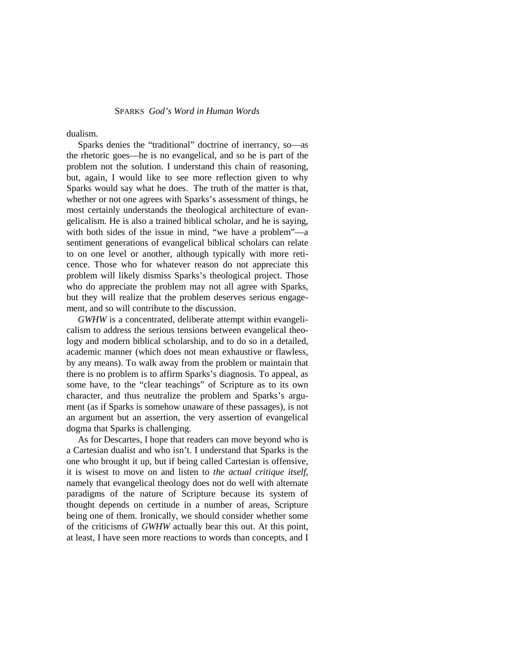#### SPARKS *God's Word in Human Words*

dualism.

Sparks denies the "traditional" doctrine of inerrancy, so—as the rhetoric goes—he is no evangelical, and so he is part of the problem not the solution. I understand this chain of reasoning, but, again, I would like to see more reflection given to why Sparks would say what he does. The truth of the matter is that, whether or not one agrees with Sparks's assessment of things, he most certainly understands the theological architecture of evangelicalism. He is also a trained biblical scholar, and he is saying, with both sides of the issue in mind, "we have a problem"—a sentiment generations of evangelical biblical scholars can relate to on one level or another, although typically with more reticence. Those who for whatever reason do not appreciate this problem will likely dismiss Sparks's theological project. Those who do appreciate the problem may not all agree with Sparks, but they will realize that the problem deserves serious engagement, and so will contribute to the discussion.

*GWHW* is a concentrated, deliberate attempt within evangelicalism to address the serious tensions between evangelical theology and modern biblical scholarship, and to do so in a detailed, academic manner (which does not mean exhaustive or flawless, by any means). To walk away from the problem or maintain that there is no problem is to affirm Sparks's diagnosis. To appeal, as some have, to the "clear teachings" of Scripture as to its own character, and thus neutralize the problem and Sparks's argument (as if Sparks is somehow unaware of these passages), is not an argument but an assertion, the very assertion of evangelical dogma that Sparks is challenging.

As for Descartes, I hope that readers can move beyond who is a Cartesian dualist and who isn't. I understand that Sparks is the one who brought it up, but if being called Cartesian is offensive, it is wisest to move on and listen to *the actual critique itself*, namely that evangelical theology does not do well with alternate paradigms of the nature of Scripture because its system of thought depends on certitude in a number of areas, Scripture being one of them. Ironically, we should consider whether some of the criticisms of *GWHW* actually bear this out. At this point, at least, I have seen more reactions to words than concepts, and I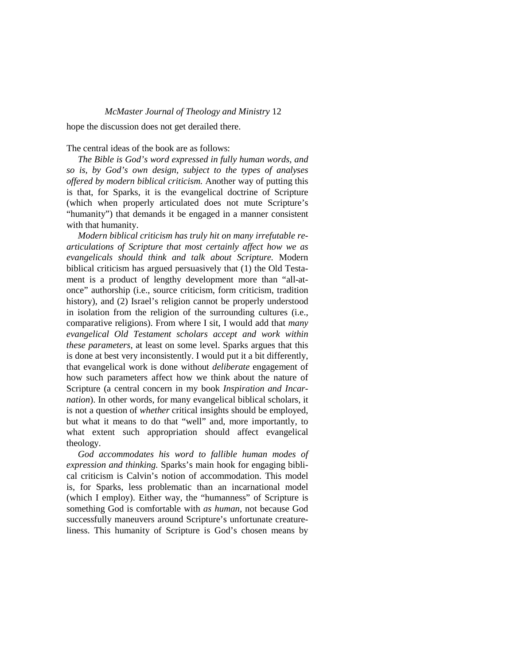## *McMaster Journal of Theology and Ministry* 12

hope the discussion does not get derailed there.

#### The central ideas of the book are as follows:

*The Bible is God's word expressed in fully human words, and so is, by God's own design, subject to the types of analyses offered by modern biblical criticism.* Another way of putting this is that, for Sparks, it is the evangelical doctrine of Scripture (which when properly articulated does not mute Scripture's "humanity") that demands it be engaged in a manner consistent with that humanity.

*Modern biblical criticism has truly hit on many irrefutable rearticulations of Scripture that most certainly affect how we as evangelicals should think and talk about Scripture.* Modern biblical criticism has argued persuasively that (1) the Old Testament is a product of lengthy development more than "all-atonce" authorship (i.e., source criticism, form criticism, tradition history), and (2) Israel's religion cannot be properly understood in isolation from the religion of the surrounding cultures (i.e., comparative religions). From where I sit, I would add that *many evangelical Old Testament scholars accept and work within these parameters*, at least on some level. Sparks argues that this is done at best very inconsistently. I would put it a bit differently, that evangelical work is done without *deliberate* engagement of how such parameters affect how we think about the nature of Scripture (a central concern in my book *Inspiration and Incarnation*). In other words, for many evangelical biblical scholars, it is not a question of *whether* critical insights should be employed, but what it means to do that "well" and, more importantly, to what extent such appropriation should affect evangelical theology.

*God accommodates his word to fallible human modes of expression and thinking.* Sparks's main hook for engaging biblical criticism is Calvin's notion of accommodation. This model is, for Sparks, less problematic than an incarnational model (which I employ). Either way, the "humanness" of Scripture is something God is comfortable with *as human*, not because God successfully maneuvers around Scripture's unfortunate creatureliness. This humanity of Scripture is God's chosen means by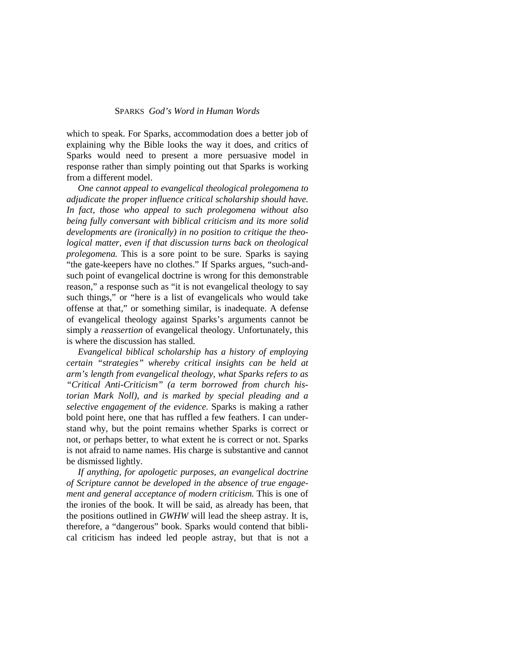## SPARKS *God's Word in Human Words*

which to speak. For Sparks, accommodation does a better job of explaining why the Bible looks the way it does, and critics of Sparks would need to present a more persuasive model in response rather than simply pointing out that Sparks is working from a different model.

*One cannot appeal to evangelical theological prolegomena to adjudicate the proper influence critical scholarship should have. In fact, those who appeal to such prolegomena without also being fully conversant with biblical criticism and its more solid developments are (ironically) in no position to critique the theological matter, even if that discussion turns back on theological prolegomena.* This is a sore point to be sure. Sparks is saying "the gate-keepers have no clothes." If Sparks argues, "such-andsuch point of evangelical doctrine is wrong for this demonstrable reason," a response such as "it is not evangelical theology to say such things," or "here is a list of evangelicals who would take offense at that," or something similar, is inadequate. A defense of evangelical theology against Sparks's arguments cannot be simply a *reassertion* of evangelical theology. Unfortunately, this is where the discussion has stalled.

*Evangelical biblical scholarship has a history of employing certain "strategies" whereby critical insights can be held at arm's length from evangelical theology, what Sparks refers to as "Critical Anti-Criticism" (a term borrowed from church historian Mark Noll), and is marked by special pleading and a selective engagement of the evidence.* Sparks is making a rather bold point here, one that has ruffled a few feathers. I can understand why, but the point remains whether Sparks is correct or not, or perhaps better, to what extent he is correct or not. Sparks is not afraid to name names. His charge is substantive and cannot be dismissed lightly.

*If anything, for apologetic purposes, an evangelical doctrine of Scripture cannot be developed in the absence of true engagement and general acceptance of modern criticism.* This is one of the ironies of the book. It will be said, as already has been, that the positions outlined in *GWHW* will lead the sheep astray. It is, therefore, a "dangerous" book. Sparks would contend that biblical criticism has indeed led people astray, but that is not a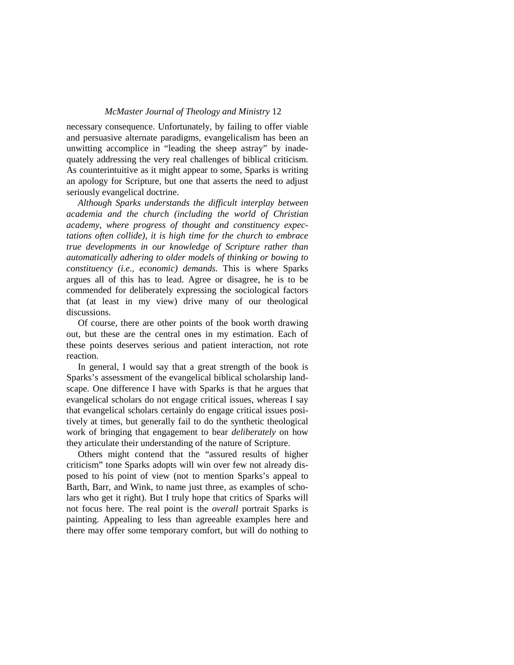## *McMaster Journal of Theology and Ministry* 12

necessary consequence. Unfortunately, by failing to offer viable and persuasive alternate paradigms, evangelicalism has been an unwitting accomplice in "leading the sheep astray" by inadequately addressing the very real challenges of biblical criticism. As counterintuitive as it might appear to some, Sparks is writing an apology for Scripture, but one that asserts the need to adjust seriously evangelical doctrine.

*Although Sparks understands the difficult interplay between academia and the church (including the world of Christian academy, where progress of thought and constituency expectations often collide), it is high time for the church to embrace true developments in our knowledge of Scripture rather than automatically adhering to older models of thinking or bowing to constituency (i.e., economic) demands.* This is where Sparks argues all of this has to lead. Agree or disagree, he is to be commended for deliberately expressing the sociological factors that (at least in my view) drive many of our theological discussions.

Of course, there are other points of the book worth drawing out, but these are the central ones in my estimation. Each of these points deserves serious and patient interaction, not rote reaction.

In general, I would say that a great strength of the book is Sparks's assessment of the evangelical biblical scholarship landscape. One difference I have with Sparks is that he argues that evangelical scholars do not engage critical issues, whereas I say that evangelical scholars certainly do engage critical issues positively at times, but generally fail to do the synthetic theological work of bringing that engagement to bear *deliberately* on how they articulate their understanding of the nature of Scripture.

Others might contend that the "assured results of higher criticism" tone Sparks adopts will win over few not already disposed to his point of view (not to mention Sparks's appeal to Barth, Barr, and Wink, to name just three, as examples of scholars who get it right). But I truly hope that critics of Sparks will not focus here. The real point is the *overall* portrait Sparks is painting. Appealing to less than agreeable examples here and there may offer some temporary comfort, but will do nothing to